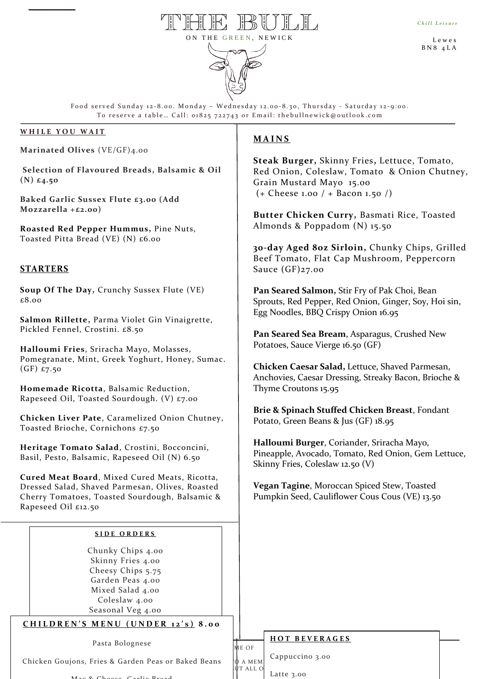L e w e s B N 8 4 L A



Food served Sunday 12-8.00. Monday – Wednesday 12.00-8.30, Thursday - Saturday 12-9:00. To reserve a table... Call: 01825 722743 or Email: thebullnewick@outlook.com

# **W H I L E Y O U W A I T**

*\_\_\_\_\_\_\_\_\_\_*

**Marinated Olives** (VE/GF)4.00

**Selection of Flavoured Breads, Balsamic & Oil (N) £4.50**

**Baked Garlic Sussex Flute £3.00 (Add Mozzarella +£2.00)**

p **Roasted Red Pepper Hummus,** Pine Nuts, Toasted Pitta Bread (VE) (N) £6.00

# **STARTERS**

**Soup Of The Day,** Crunchy Sussex Flute (VE) £8.00

**Salmon Rillette,** Parma Violet Gin Vinaigrette, Pickled Fennel, Crostini. £8.50

 (GF) £7.50 **Halloumi Fries**, Sriracha Mayo, Molasses, Pomegranate, Mint, Greek Yoghurt, Honey, Sumac.

**Homemade Ricotta**, Balsamic Reduction, Rapeseed Oil, Toasted Sourdough. (V) £7.00

**Chicken Liver Pate**, Caramelized Onion Chutney, Toasted Brioche, Cornichons £7.50

**Heritage Tomato Salad**, Crostini, Bocconcini, Basil, Pesto, Balsamic, Rapeseed Oil (N) 6.50

**Cured Meat Board**, Mixed Cured Meats, Ricotta, Dressed Salad, Shaved Parmesan, Olives, Roasted Cherry Tomatoes, Toasted Sourdough, Balsamic & Rapeseed Oil £12.50

#### **S I D E O R D E R S**

Chunky Chips 4.00 Skinny Fries 4.00 Cheesy Chips 5.75 Garden Peas 4.00 Mixed Salad 4.00 Coleslaw 4.00 Seasonal Veg 4.00

# **C H I L D R E N ' S M E N U ( U N D E R 1 2 ' s ) 8 . 0 0**

Pasta Bolognese

Chicken Goujons, Fries & Garden Peas or Baked Beans († A MEM ) have considered the Chicken Goujons, Fries & Garden Peas or Baked Beans († A MEM ) and the Chicken

# **M A I N S**

**Steak Burger,** Skinny Fries**,** Lettuce, Tomato, Red Onion, Coleslaw, Tomato & Onion Chutney, Grain Mustard Mayo 15.00 (+ Cheese 1.00 / + Bacon 1.50 /)

**Butter Chicken Curry,** Basmati Rice, Toasted Almonds & Poppadom (N) 15.50

**30-day Aged 8oz Sirloin,** Chunky Chips, Grilled Beef Tomato, Flat Cap Mushroom, Peppercorn Sauce (GF)27.00

**Pan Seared Salmon,** Stir Fry of Pak Choi, Bean Sprouts, Red Pepper, Red Onion, Ginger, Soy, Hoi sin, Egg Noodles, BBQ Crispy Onion 16.95

**Pan Seared Sea Bream**, Asparagus, Crushed New Potatoes, Sauce Vierge 16.50 (GF)

**Chicken Caesar Salad,** Lettuce, Shaved Parmesan, Anchovies, Caesar Dressing, Streaky Bacon, Brioche & Thyme Croutons 15.95

**Brie & Spinach Stuffed Chicken Breast**, Fondant Potato, Green Beans & Jus (GF) 18.95

**Halloumi Burger**, Coriander, Sriracha Mayo, Pineapple, Avocado, Tomato, Red Onion, Gem Lettuce, Skinny Fries, Coleslaw 12.50 (V)

**Vegan Tagine**, Moroccan Spiced Stew, Toasted Pumpkin Seed, Cauliflower Cous Cous (VE) 13.50

### **H O T B E V E R A G E S**

| Pasta Bolognese                                                                   | ME OF    |            |
|-----------------------------------------------------------------------------------|----------|------------|
| ons, Fries & Garden Peas or Baked Beans $\left \phi\right $ A MEM Cappuccino 3.00 |          |            |
| $M_{22}$ $R_{2222}$ $C_{21}$ $R_{222}$                                            | UT ALL O | Latte 3.00 |